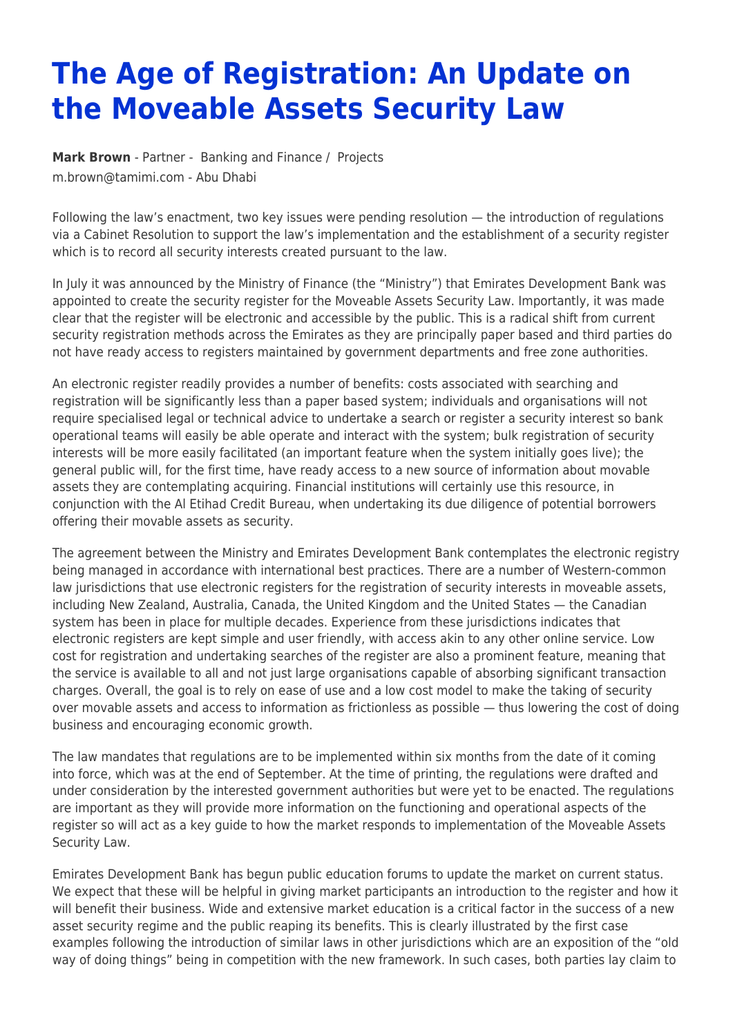## **The Age of Registration: An Update on the Moveable Assets Security Law**

**[Mark Brown](https://www.tamimi.com/find-a-lawyer/mark-brown/)** - Partner - [Banking and Finance](https://www.tamimi.com/client-services/practices/banking-finance/) / [Projects](https://www.tamimi.com/client-services/practices/projects/) [m.brown@tamimi.com](mailto:m.brown@tamimi.com) - [Abu Dhabi](https://www.tamimi.com/locations/uae/)

Following the law's enactment, two key issues were pending resolution — the introduction of regulations via a Cabinet Resolution to support the law's implementation and the establishment of a security register which is to record all security interests created pursuant to the law.

In July it was announced by the Ministry of Finance (the "Ministry") that Emirates Development Bank was appointed to create the security register for the Moveable Assets Security Law. Importantly, it was made clear that the register will be electronic and accessible by the public. This is a radical shift from current security registration methods across the Emirates as they are principally paper based and third parties do not have ready access to registers maintained by government departments and free zone authorities.

An electronic register readily provides a number of benefits: costs associated with searching and registration will be significantly less than a paper based system; individuals and organisations will not require specialised legal or technical advice to undertake a search or register a security interest so bank operational teams will easily be able operate and interact with the system; bulk registration of security interests will be more easily facilitated (an important feature when the system initially goes live); the general public will, for the first time, have ready access to a new source of information about movable assets they are contemplating acquiring. Financial institutions will certainly use this resource, in conjunction with the Al Etihad Credit Bureau, when undertaking its due diligence of potential borrowers offering their movable assets as security.

The agreement between the Ministry and Emirates Development Bank contemplates the electronic registry being managed in accordance with international best practices. There are a number of Western-common law jurisdictions that use electronic registers for the registration of security interests in moveable assets, including New Zealand, Australia, Canada, the United Kingdom and the United States — the Canadian system has been in place for multiple decades. Experience from these jurisdictions indicates that electronic registers are kept simple and user friendly, with access akin to any other online service. Low cost for registration and undertaking searches of the register are also a prominent feature, meaning that the service is available to all and not just large organisations capable of absorbing significant transaction charges. Overall, the goal is to rely on ease of use and a low cost model to make the taking of security over movable assets and access to information as frictionless as possible — thus lowering the cost of doing business and encouraging economic growth.

The law mandates that regulations are to be implemented within six months from the date of it coming into force, which was at the end of September. At the time of printing, the regulations were drafted and under consideration by the interested government authorities but were yet to be enacted. The regulations are important as they will provide more information on the functioning and operational aspects of the register so will act as a key guide to how the market responds to implementation of the Moveable Assets Security Law.

Emirates Development Bank has begun public education forums to update the market on current status. We expect that these will be helpful in giving market participants an introduction to the register and how it will benefit their business. Wide and extensive market education is a critical factor in the success of a new asset security regime and the public reaping its benefits. This is clearly illustrated by the first case examples following the introduction of similar laws in other jurisdictions which are an exposition of the "old way of doing things" being in competition with the new framework. In such cases, both parties lay claim to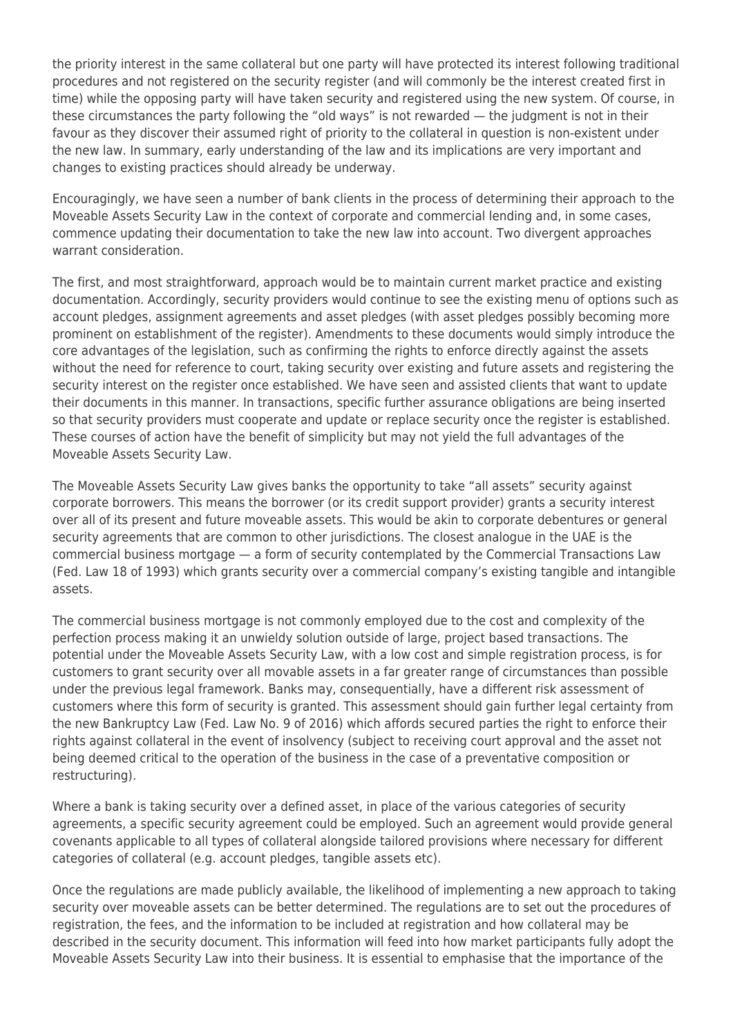the priority interest in the same collateral but one party will have protected its interest following traditional procedures and not registered on the security register (and will commonly be the interest created first in time) while the opposing party will have taken security and registered using the new system. Of course, in these circumstances the party following the "old ways" is not rewarded — the judgment is not in their favour as they discover their assumed right of priority to the collateral in question is non-existent under the new law. In summary, early understanding of the law and its implications are very important and changes to existing practices should already be underway.

Encouragingly, we have seen a number of bank clients in the process of determining their approach to the Moveable Assets Security Law in the context of corporate and commercial lending and, in some cases, commence updating their documentation to take the new law into account. Two divergent approaches warrant consideration.

The first, and most straightforward, approach would be to maintain current market practice and existing documentation. Accordingly, security providers would continue to see the existing menu of options such as account pledges, assignment agreements and asset pledges (with asset pledges possibly becoming more prominent on establishment of the register). Amendments to these documents would simply introduce the core advantages of the legislation, such as confirming the rights to enforce directly against the assets without the need for reference to court, taking security over existing and future assets and registering the security interest on the register once established. We have seen and assisted clients that want to update their documents in this manner. In transactions, specific further assurance obligations are being inserted so that security providers must cooperate and update or replace security once the register is established. These courses of action have the benefit of simplicity but may not yield the full advantages of the Moveable Assets Security Law.

The Moveable Assets Security Law gives banks the opportunity to take "all assets" security against corporate borrowers. This means the borrower (or its credit support provider) grants a security interest over all of its present and future moveable assets. This would be akin to corporate debentures or general security agreements that are common to other jurisdictions. The closest analogue in the UAE is the commercial business mortgage — a form of security contemplated by the Commercial Transactions Law (Fed. Law 18 of 1993) which grants security over a commercial company's existing tangible and intangible assets.

The commercial business mortgage is not commonly employed due to the cost and complexity of the perfection process making it an unwieldy solution outside of large, project based transactions. The potential under the Moveable Assets Security Law, with a low cost and simple registration process, is for customers to grant security over all movable assets in a far greater range of circumstances than possible under the previous legal framework. Banks may, consequentially, have a different risk assessment of customers where this form of security is granted. This assessment should gain further legal certainty from the new Bankruptcy Law (Fed. Law No. 9 of 2016) which affords secured parties the right to enforce their rights against collateral in the event of insolvency (subject to receiving court approval and the asset not being deemed critical to the operation of the business in the case of a preventative composition or restructuring).

Where a bank is taking security over a defined asset, in place of the various categories of security agreements, a specific security agreement could be employed. Such an agreement would provide general covenants applicable to all types of collateral alongside tailored provisions where necessary for different categories of collateral (e.g. account pledges, tangible assets etc).

Once the regulations are made publicly available, the likelihood of implementing a new approach to taking security over moveable assets can be better determined. The regulations are to set out the procedures of registration, the fees, and the information to be included at registration and how collateral may be described in the security document. This information will feed into how market participants fully adopt the Moveable Assets Security Law into their business. It is essential to emphasise that the importance of the